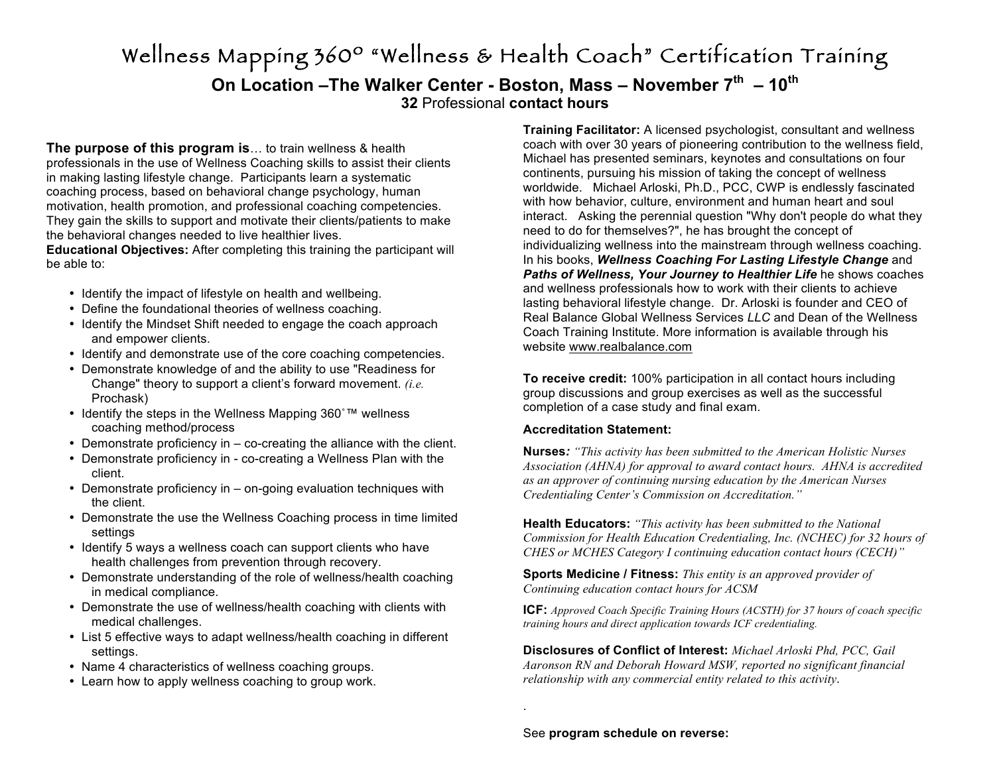# Wellness Mapping 360º "Wellness & Health Coach" Certification Training **On Location –The Walker Center - Boston, Mass – November 7th – 10th 32** Professional **contact hours**

**The purpose of this program is**… to train wellness & health professionals in the use of Wellness Coaching skills to assist their clients in making lasting lifestyle change. Participants learn a systematic coaching process, based on behavioral change psychology, human motivation, health promotion, and professional coaching competencies. They gain the skills to support and motivate their clients/patients to make the behavioral changes needed to live healthier lives.

**Educational Objectives:** After completing this training the participant will be able to:

- Identify the impact of lifestyle on health and wellbeing.
- Define the foundational theories of wellness coaching.
- Identify the Mindset Shift needed to engage the coach approach and empower clients.
- Identify and demonstrate use of the core coaching competencies.
- Demonstrate knowledge of and the ability to use "Readiness for Change" theory to support a client's forward movement. *(i.e.* Prochask)
- Identify the steps in the Wellness Mapping 360°™ wellness coaching method/process
- Demonstrate proficiency in co-creating the alliance with the client.
- Demonstrate proficiency in co-creating a Wellness Plan with the client.
- Demonstrate proficiency in on-going evaluation techniques with the client.
- Demonstrate the use the Wellness Coaching process in time limited settings
- Identify 5 ways a wellness coach can support clients who have health challenges from prevention through recovery.
- Demonstrate understanding of the role of wellness/health coaching in medical compliance.
- Demonstrate the use of wellness/health coaching with clients with medical challenges.
- List 5 effective ways to adapt wellness/health coaching in different settings.
- Name 4 characteristics of wellness coaching groups.
- Learn how to apply wellness coaching to group work.

**Training Facilitator:** A licensed psychologist, consultant and wellness coach with over 30 years of pioneering contribution to the wellness field, Michael has presented seminars, keynotes and consultations on four continents, pursuing his mission of taking the concept of wellness worldwide. Michael Arloski, Ph.D., PCC, CWP is endlessly fascinated with how behavior, culture, environment and human heart and soul interact. Asking the perennial question "Why don't people do what they need to do for themselves?", he has brought the concept of individualizing wellness into the mainstream through wellness coaching. In his books, *Wellness Coaching For Lasting Lifestyle Change* and *Paths of Wellness, Your Journey to Healthier Life* he shows coaches and wellness professionals how to work with their clients to achieve lasting behavioral lifestyle change. Dr. Arloski is founder and CEO of Real Balance Global Wellness Services *LLC* and Dean of the Wellness Coach Training Institute. More information is available through his website www.realbalance.com

**To receive credit:** 100% participation in all contact hours including group discussions and group exercises as well as the successful completion of a case study and final exam.

# **Accreditation Statement:**

**Nurses***: "This activity has been submitted to the American Holistic Nurses Association (AHNA) for approval to award contact hours. AHNA is accredited as an approver of continuing nursing education by the American Nurses Credentialing Center's Commission on Accreditation."*

**Health Educators:** *"This activity has been submitted to the National Commission for Health Education Credentialing, Inc. (NCHEC) for 32 hours of CHES or MCHES Category I continuing education contact hours (CECH)"*

**Sports Medicine / Fitness:** *This entity is an approved provider of Continuing education contact hours for ACSM*

**ICF:** *Approved Coach Specific Training Hours (ACSTH) for 37 hours of coach specific training hours and direct application towards ICF credentialing.* 

**Disclosures of Conflict of Interest:** *Michael Arloski Phd, PCC, Gail Aaronson RN and Deborah Howard MSW, reported no significant financial relationship with any commercial entity related to this activity*.

.